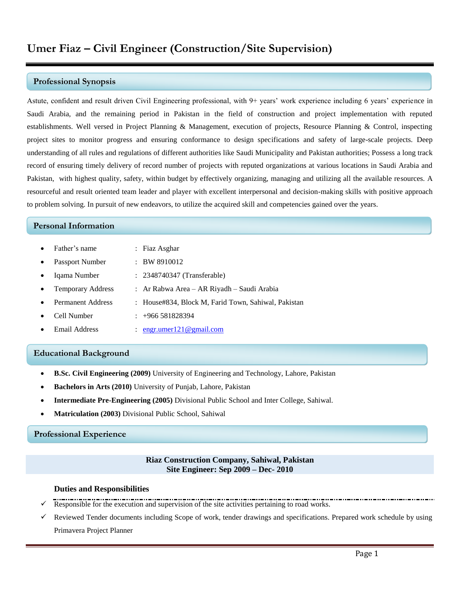### **Professional Synopsis**

Astute, confident and result driven Civil Engineering professional, with 9+ years' work experience including 6 years' experience in Saudi Arabia, and the remaining period in Pakistan in the field of construction and project implementation with reputed establishments. Well versed in Project Planning & Management, execution of projects, Resource Planning & Control, inspecting project sites to monitor progress and ensuring conformance to design specifications and safety of large-scale projects. Deep understanding of all rules and regulations of different authorities like Saudi Municipality and Pakistan authorities; Possess a long track record of ensuring timely delivery of record number of projects with reputed organizations at various locations in Saudi Arabia and Pakistan, with highest quality, safety, within budget by effectively organizing, managing and utilizing all the available resources. A resourceful and result oriented team leader and player with excellent interpersonal and decision-making skills with positive approach to problem solving. In pursuit of new endeavors, to utilize the acquired skill and competencies gained over the years.

## **Personal Information**

- Father's name : Fiaz Asghar
- Passport Number : BW 8910012
- Iqama Number : 2348740347 (Transferable)
- Temporary Address : Ar Rabwa Area AR Riyadh Saudi Arabia
- Permanent Address : House#834, Block M, Farid Town, Sahiwal, Pakistan
- Cell Number : +966 581828394
- Email Address : [engr.umer121@gmail.com](mailto:engr.umer121@gmail.com)

## **Educational Background**

- **B.Sc. Civil Engineering (2009)** University of Engineering and Technology, Lahore, Pakistan
- **Bachelors in Arts (2010)** University of Punjab, Lahore, Pakistan
- **Intermediate Pre-Engineering (2005)** Divisional Public School and Inter College, Sahiwal.
- **Matriculation (2003)** Divisional Public School, Sahiwal

# **Professional Experience**

#### **Riaz Construction Company, Sahiwal, Pakistan Site Engineer: Sep 2009 – Dec- 2010**

#### **Duties and Responsibilities**

- Responsible for the execution and supervision of the site activities pertaining to road works.
- Reviewed Tender documents including Scope of work, tender drawings and specifications. Prepared work schedule by using Primavera Project Planner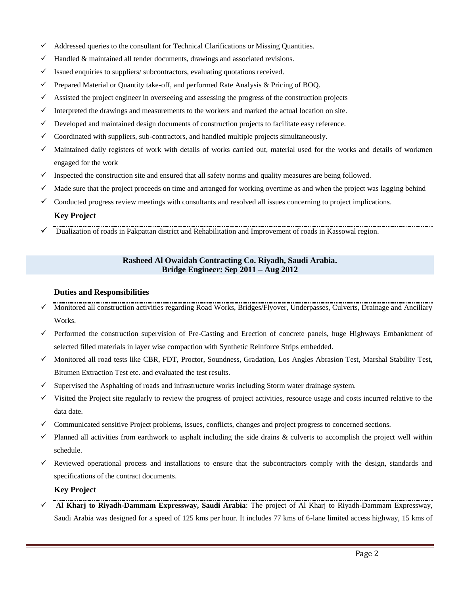- Addressed queries to the consultant for Technical Clarifications or Missing Quantities.
- $\checkmark$  Handled & maintained all tender documents, drawings and associated revisions.
- $\checkmark$  Issued enquiries to suppliers/ subcontractors, evaluating quotations received.
- $\checkmark$  Prepared Material or Quantity take-off, and performed Rate Analysis & Pricing of BOQ.
- $\checkmark$  Assisted the project engineer in overseeing and assessing the progress of the construction projects
- Interpreted the drawings and measurements to the workers and marked the actual location on site.
- $\checkmark$  Developed and maintained design documents of construction projects to facilitate easy reference.
- $\checkmark$  Coordinated with suppliers, sub-contractors, and handled multiple projects simultaneously.
- $\checkmark$  Maintained daily registers of work with details of works carried out, material used for the works and details of workmen engaged for the work
- $\checkmark$  Inspected the construction site and ensured that all safety norms and quality measures are being followed.
- $\checkmark$  Made sure that the project proceeds on time and arranged for working overtime as and when the project was lagging behind
- $\checkmark$  Conducted progress review meetings with consultants and resolved all issues concerning to project implications.

# **Key Project**

Dualization of roads in Pakpattan district and Rehabilitation and Improvement of roads in Kassowal region.

## **Rasheed Al Owaidah Contracting Co. Riyadh, Saudi Arabia. Bridge Engineer: Sep 2011 – Aug 2012**

## **Duties and Responsibilities**

- Monitored all construction activities regarding Road Works, Bridges/Flyover, Underpasses, Culverts, Drainage and Ancillary Works.
- Performed the construction supervision of Pre-Casting and Erection of concrete panels, huge Highways Embankment of selected filled materials in layer wise compaction with Synthetic Reinforce Strips embedded.
- $\checkmark$  Monitored all road tests like CBR, FDT, Proctor, Soundness, Gradation, Los Angles Abrasion Test, Marshal Stability Test, Bitumen Extraction Test etc. and evaluated the test results.
- $\checkmark$  Supervised the Asphalting of roads and infrastructure works including Storm water drainage system.
- $\checkmark$  Visited the Project site regularly to review the progress of project activities, resource usage and costs incurred relative to the data date.
- Communicated sensitive Project problems, issues, conflicts, changes and project progress to concerned sections.
- $\checkmark$  Planned all activities from earthwork to asphalt including the side drains & culverts to accomplish the project well within schedule.
- $\checkmark$  Reviewed operational process and installations to ensure that the subcontractors comply with the design, standards and specifications of the contract documents.

## **Key Project**

 **Al Kharj to Riyadh-Dammam Expressway, Saudi Arabia**: The project of Al Kharj to Riyadh-Dammam Expressway, Saudi Arabia was designed for a speed of 125 kms per hour. It includes 77 kms of 6-lane limited access highway, 15 kms of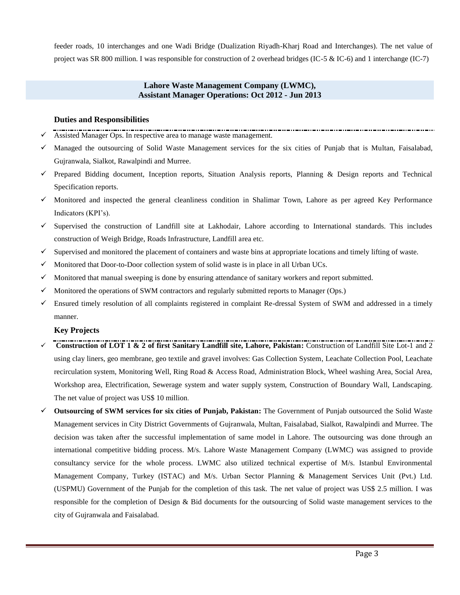feeder roads, 10 interchanges and one Wadi Bridge (Dualization Riyadh-Kharj Road and Interchanges). The net value of project was SR 800 million. I was responsible for construction of 2 overhead bridges (IC-5 & IC-6) and 1 interchange (IC-7)

## **Lahore Waste Management Company (LWMC), Assistant Manager Operations: Oct 2012 - Jun 2013**

## **Duties and Responsibilities**

- Assisted Manager Ops. In respective area to manage waste management.
- $\checkmark$  Managed the outsourcing of Solid Waste Management services for the six cities of Punjab that is Multan, Faisalabad, Gujranwala, Sialkot, Rawalpindi and Murree.
- $\checkmark$  Prepared Bidding document, Inception reports, Situation Analysis reports, Planning & Design reports and Technical Specification reports.
- $\checkmark$  Monitored and inspected the general cleanliness condition in Shalimar Town, Lahore as per agreed Key Performance Indicators (KPI's).
- Supervised the construction of Landfill site at Lakhodair, Lahore according to International standards. This includes construction of Weigh Bridge, Roads Infrastructure, Landfill area etc.
- $\checkmark$  Supervised and monitored the placement of containers and waste bins at appropriate locations and timely lifting of waste.
- $\checkmark$  Monitored that Door-to-Door collection system of solid waste is in place in all Urban UCs.
- $\checkmark$  Monitored that manual sweeping is done by ensuring attendance of sanitary workers and report submitted.
- $\checkmark$  Monitored the operations of SWM contractors and regularly submitted reports to Manager (Ops.)
- Ensured timely resolution of all complaints registered in complaint Re-dressal System of SWM and addressed in a timely manner.

## **Key Projects**

- **Construction of LOT 1 & 2 of first Sanitary Landfill site, Lahore, Pakistan:** Construction of Landfill Site Lot-1 and 2 using clay liners, geo membrane, geo textile and gravel involves: Gas Collection System, Leachate Collection Pool, Leachate recirculation system, Monitoring Well, Ring Road & Access Road, Administration Block, Wheel washing Area, Social Area, Workshop area, Electrification, Sewerage system and water supply system, Construction of Boundary Wall, Landscaping. The net value of project was US\$ 10 million.
- **Outsourcing of SWM services for six cities of Punjab, Pakistan:** The Government of Punjab outsourced the Solid Waste Management services in City District Governments of Gujranwala, Multan, Faisalabad, Sialkot, Rawalpindi and Murree. The decision was taken after the successful implementation of same model in Lahore. The outsourcing was done through an international competitive bidding process. M/s. Lahore Waste Management Company (LWMC) was assigned to provide consultancy service for the whole process. LWMC also utilized technical expertise of M/s. Istanbul Environmental Management Company, Turkey (ISTAC) and M/s. Urban Sector Planning & Management Services Unit (Pvt.) Ltd. (USPMU) Government of the Punjab for the completion of this task. The net value of project was US\$ 2.5 million. I was responsible for the completion of Design & Bid documents for the outsourcing of Solid waste management services to the city of Gujranwala and Faisalabad.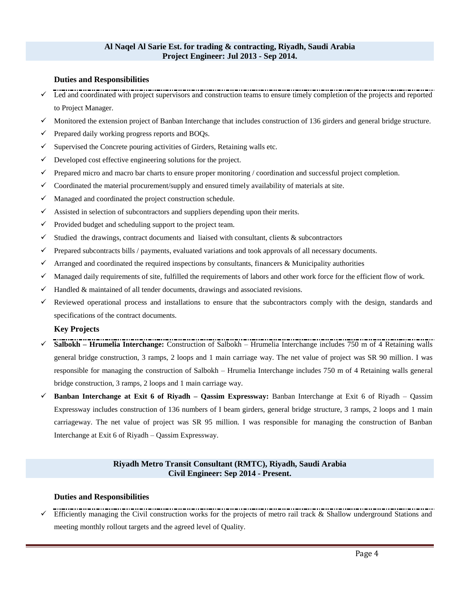#### **Al Naqel Al Sarie Est. for trading & contracting, Riyadh, Saudi Arabia Project Engineer: Jul 2013 - Sep 2014.**

### **Duties and Responsibilities**

- Led and coordinated with project supervisors and construction teams to ensure timely completion of the projects and reported to Project Manager.
- $\checkmark$  Monitored the extension project of Banban Interchange that includes construction of 136 girders and general bridge structure.
- $\checkmark$  Prepared daily working progress reports and BOQs.
- $\checkmark$  Supervised the Concrete pouring activities of Girders, Retaining walls etc.
- $\checkmark$  Developed cost effective engineering solutions for the project.
- $\checkmark$  Prepared micro and macro bar charts to ensure proper monitoring / coordination and successful project completion.
- $\checkmark$  Coordinated the material procurement/supply and ensured timely availability of materials at site.
- $\checkmark$  Managed and coordinated the project construction schedule.
- $\checkmark$  Assisted in selection of subcontractors and suppliers depending upon their merits.
- $\checkmark$  Provided budget and scheduling support to the project team.
- $\checkmark$  Studied the drawings, contract documents and liaised with consultant, clients & subcontractors
- $\checkmark$  Prepared subcontracts bills / payments, evaluated variations and took approvals of all necessary documents.
- $\checkmark$  Arranged and coordinated the required inspections by consultants, financers & Municipality authorities
- $\checkmark$  Managed daily requirements of site, fulfilled the requirements of labors and other work force for the efficient flow of work.
- $\checkmark$  Handled & maintained of all tender documents, drawings and associated revisions.
- $\checkmark$  Reviewed operational process and installations to ensure that the subcontractors comply with the design, standards and specifications of the contract documents.

#### **Key Projects**

- **Salbokh – Hrumelia Interchange:** Construction of Salbokh Hrumelia Interchange includes 750 m of 4 Retaining walls general bridge construction, 3 ramps, 2 loops and 1 main carriage way. The net value of project was SR 90 million. I was responsible for managing the construction of Salbokh – Hrumelia Interchange includes 750 m of 4 Retaining walls general bridge construction, 3 ramps, 2 loops and 1 main carriage way.
- **Banban Interchange at Exit 6 of Riyadh – Qassim Expressway:** Banban Interchange at Exit 6 of Riyadh Qassim Expressway includes construction of 136 numbers of I beam girders, general bridge structure, 3 ramps, 2 loops and 1 main carriageway. The net value of project was SR 95 million. I was responsible for managing the construction of Banban Interchange at Exit 6 of Riyadh – Qassim Expressway.

## **Riyadh Metro Transit Consultant (RMTC), Riyadh, Saudi Arabia Civil Engineer: Sep 2014 - Present.**

#### **Duties and Responsibilities**

 Efficiently managing the Civil construction works for the projects of metro rail track & Shallow underground Stations and meeting monthly rollout targets and the agreed level of Quality.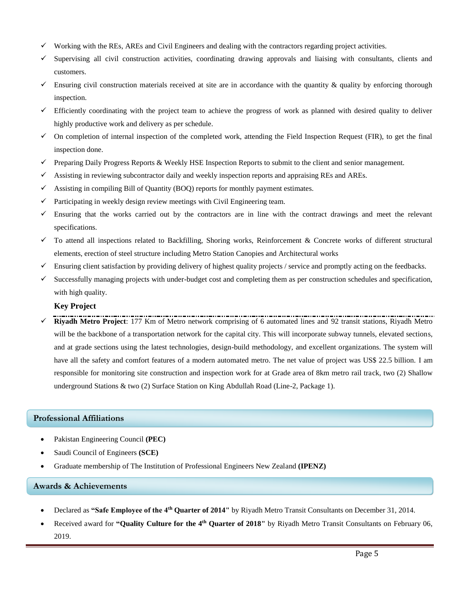- Working with the REs, AREs and Civil Engineers and dealing with the contractors regarding project activities.
- $\checkmark$  Supervising all civil construction activities, coordinating drawing approvals and liaising with consultants, clients and customers.
- $\checkmark$  Ensuring civil construction materials received at site are in accordance with the quantity & quality by enforcing thorough inspection.
- $\checkmark$  Efficiently coordinating with the project team to achieve the progress of work as planned with desired quality to deliver highly productive work and delivery as per schedule.
- $\checkmark$  On completion of internal inspection of the completed work, attending the Field Inspection Request (FIR), to get the final inspection done.
- $\checkmark$  Preparing Daily Progress Reports & Weekly HSE Inspection Reports to submit to the client and senior management.
- $\checkmark$  Assisting in reviewing subcontractor daily and weekly inspection reports and appraising REs and AREs.
- $\checkmark$  Assisting in compiling Bill of Quantity (BOQ) reports for monthly payment estimates.
- $\checkmark$  Participating in weekly design review meetings with Civil Engineering team.
- $\checkmark$  Ensuring that the works carried out by the contractors are in line with the contract drawings and meet the relevant specifications.
- $\checkmark$  To attend all inspections related to Backfilling, Shoring works, Reinforcement & Concrete works of different structural elements, erection of steel structure including Metro Station Canopies and Architectural works
- $\checkmark$  Ensuring client satisfaction by providing delivery of highest quality projects / service and promptly acting on the feedbacks.
- $\checkmark$  Successfully managing projects with under-budget cost and completing them as per construction schedules and specification, with high quality.

## **Key Project**

 **Riyadh Metro Project**: 177 Km of Metro network comprising of 6 automated lines and 92 transit stations, Riyadh Metro will be the backbone of a transportation network for the capital city. This will incorporate subway tunnels, elevated sections, and at grade sections using the latest technologies, design-build methodology, and excellent organizations. The system will have all the safety and comfort features of a modern automated metro. The net value of project was US\$ 22.5 billion. I am responsible for monitoring site construction and inspection work for at Grade area of 8km metro rail track, two (2) Shallow underground Stations & two (2) Surface Station on King Abdullah Road (Line-2, Package 1).

## **Professional Affiliations**

- Pakistan Engineering Council **(PEC)**
- Saudi Council of Engineers **(SCE)**
- Graduate membership of The Institution of Professional Engineers New Zealand **(IPENZ)**

## **Awards & Achievements**

- Declared as **"Safe Employee of the 4th Quarter of 2014"** by Riyadh Metro Transit Consultants on December 31, 2014.
- Received award for **"Quality Culture for the 4th Quarter of 2018"** by Riyadh Metro Transit Consultants on February 06, 2019.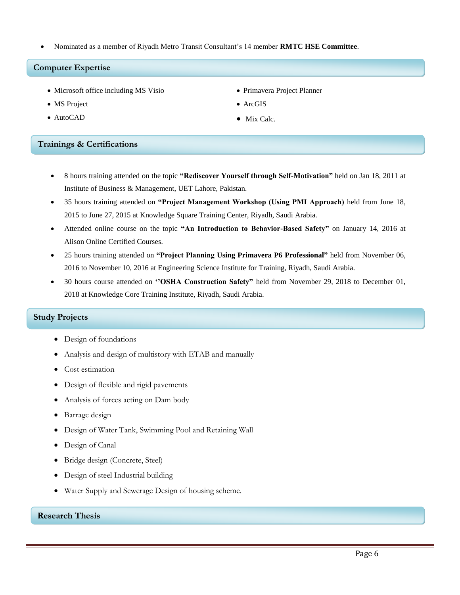Nominated as a member of Riyadh Metro Transit Consultant's 14 member **RMTC HSE Committee**.

## **Computer Expertise**

- Microsoft office including MS Visio
- MS Project
- AutoCAD Mix Calc.
- **Trainings & Certifications** 
	- 8 hours training attended on the topic **"Rediscover Yourself through Self-Motivation"** held on Jan 18, 2011 at Institute of Business & Management, UET Lahore, Pakistan.
	- 35 hours training attended on **"Project Management Workshop (Using PMI Approach)** held from June 18, 2015 to June 27, 2015 at Knowledge Square Training Center, Riyadh, Saudi Arabia.
	- Attended online course on the topic **"An Introduction to Behavior-Based Safety"** on January 14, 2016 at Alison Online Certified Courses.
	- 25 hours training attended on **"Project Planning Using Primavera P6 Professional"** held from November 06, 2016 to November 10, 2016 at Engineering Science Institute for Training, Riyadh, Saudi Arabia.
	- 30 hours course attended on **''OSHA Construction Safety"** held from November 29, 2018 to December 01, 2018 at Knowledge Core Training Institute, Riyadh, Saudi Arabia.

## **Study Projects**

- Design of foundations
- Analysis and design of multistory with ETAB and manually
- Cost estimation
- Design of flexible and rigid pavements
- Analysis of forces acting on Dam body
- Barrage design
- Design of Water Tank, Swimming Pool and Retaining Wall
- Design of Canal
- Bridge design (Concrete, Steel)
- Design of steel Industrial building
- Water Supply and Sewerage Design of housing scheme.

## **Research Thesis**

- Primavera Project Planner
- ArcGIS
-